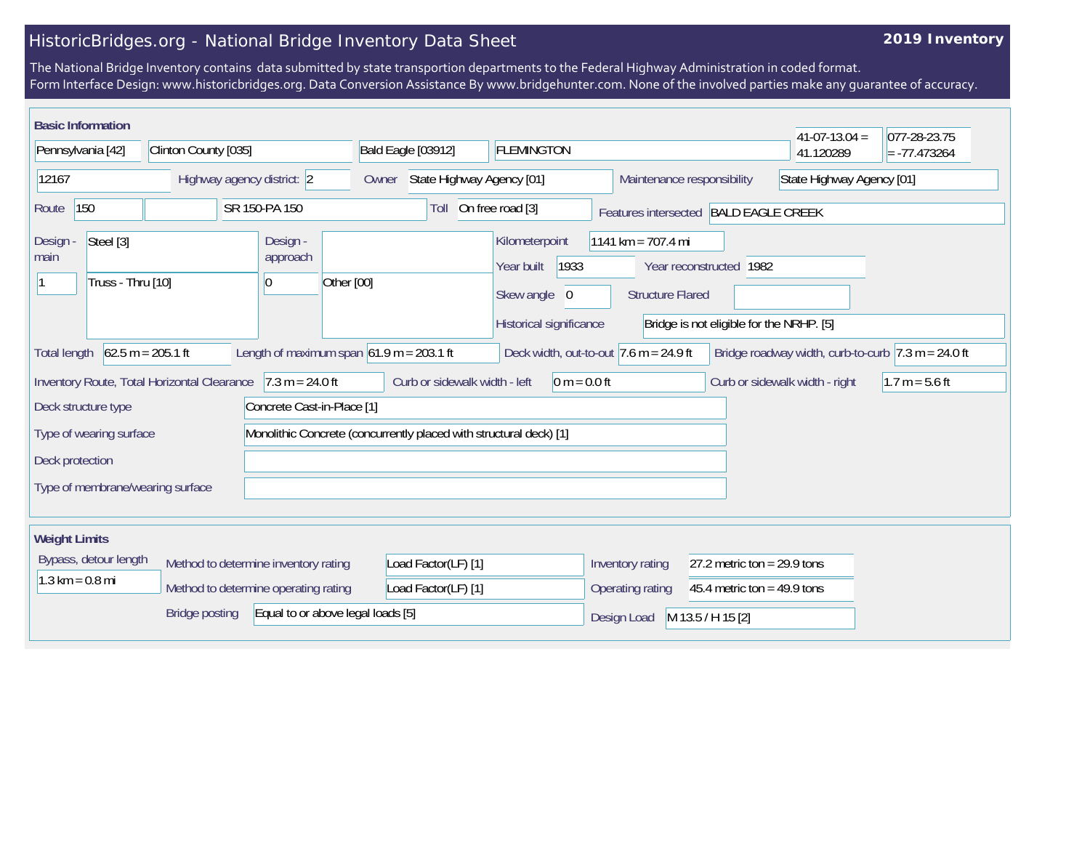## HistoricBridges.org - National Bridge Inventory Data Sheet

## **2019 Inventory**

The National Bridge Inventory contains data submitted by state transportion departments to the Federal Highway Administration in coded format. Form Interface Design: www.historicbridges.org. Data Conversion Assistance By www.bridgehunter.com. None of the involved parties make any guarantee of accuracy.

|                                                                                                                                                                                                                                 | <b>Basic Information</b>                                    |                                             |                                                 |                                                                    |                                                                                 |                                                                |                                                                     | $41-07-13.04 =$                | $ 077-28-23.75$  |
|---------------------------------------------------------------------------------------------------------------------------------------------------------------------------------------------------------------------------------|-------------------------------------------------------------|---------------------------------------------|-------------------------------------------------|--------------------------------------------------------------------|---------------------------------------------------------------------------------|----------------------------------------------------------------|---------------------------------------------------------------------|--------------------------------|------------------|
| Pennsylvania [42]                                                                                                                                                                                                               |                                                             | Clinton County [035]                        |                                                 | Bald Eagle [03912]                                                 | <b>FLEMINGTON</b>                                                               |                                                                |                                                                     | 41.120289                      | $= -77.473264$   |
| 12167                                                                                                                                                                                                                           |                                                             |                                             | Highway agency district: 2                      | State Highway Agency [01]<br>Owner                                 |                                                                                 | Maintenance responsibility                                     |                                                                     | State Highway Agency [01]      |                  |
| 150<br>SR 150-PA 150<br>Route                                                                                                                                                                                                   |                                                             |                                             |                                                 | Toll                                                               | On free road [3]<br>Features intersected BALD EAGLE CREEK                       |                                                                |                                                                     |                                |                  |
| Design -<br>main                                                                                                                                                                                                                | Steel [3]<br>Truss - Thru [10]                              |                                             | Design -<br>approach<br>10                      | Other [00]                                                         | Kilometerpoint<br>Year built<br>1933<br>Skew angle 0<br>Historical significance | 1141 km = $707.4$ mi<br><b>Structure Flared</b>                | Year reconstructed 1982<br>Bridge is not eligible for the NRHP. [5] |                                |                  |
| $62.5 m = 205.1 ft$<br>Length of maximum span $61.9$ m = 203.1 ft<br>Deck width, out-to-out $ 7.6 \text{ m} = 24.9 \text{ ft} $<br><b>Total length</b><br>Bridge roadway width, curb-to-curb $ 7.3 \text{ m} = 24.0 \text{ ft}$ |                                                             |                                             |                                                 |                                                                    |                                                                                 |                                                                |                                                                     |                                |                  |
|                                                                                                                                                                                                                                 | Deck structure type                                         | Inventory Route, Total Horizontal Clearance | $7.3 m = 24.0 ft$<br>Concrete Cast-in-Place [1] | Curb or sidewalk width - left                                      | $0 m = 0.0 ft$                                                                  |                                                                |                                                                     | Curb or sidewalk width - right | $1.7 m = 5.6 ft$ |
| Deck protection                                                                                                                                                                                                                 | Type of wearing surface<br>Type of membrane/wearing surface |                                             |                                                 | Monolithic Concrete (concurrently placed with structural deck) [1] |                                                                                 |                                                                |                                                                     |                                |                  |
| <b>Weight Limits</b><br>Bypass, detour length<br>Method to determine inventory rating<br>$1.3 \text{ km} = 0.8 \text{ mi}$<br>Method to determine operating rating                                                              |                                                             |                                             | Load Factor(LF) [1]<br>Load Factor(LF) [1]      |                                                                    | Inventory rating<br>Operating rating                                            | 27.2 metric ton = $29.9$ tons<br>45.4 metric ton = $49.9$ tons |                                                                     |                                |                  |
| <b>Bridge posting</b><br>Equal to or above legal loads [5]                                                                                                                                                                      |                                                             |                                             |                                                 |                                                                    | Design Load                                                                     | M 13.5 / H 15 [2]                                              |                                                                     |                                |                  |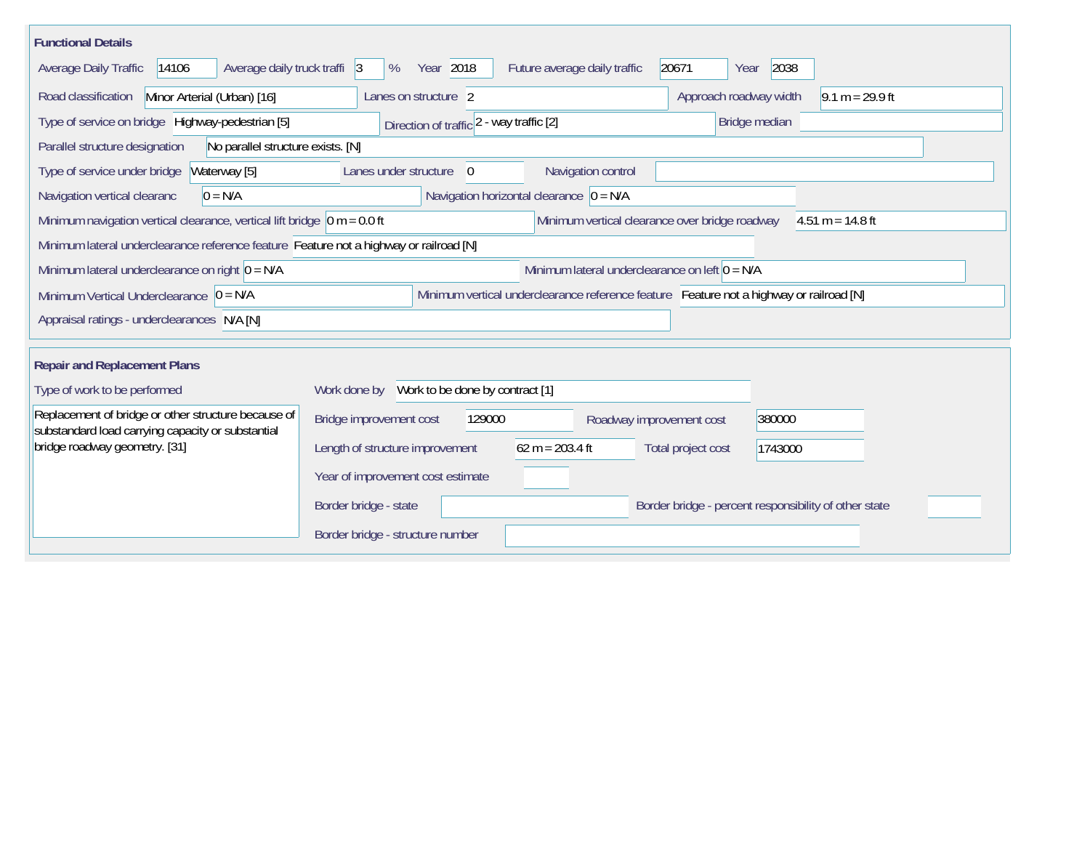| <b>Functional Details</b>                                                                                                                                |                                                                                         |  |  |  |  |  |  |  |
|----------------------------------------------------------------------------------------------------------------------------------------------------------|-----------------------------------------------------------------------------------------|--|--|--|--|--|--|--|
| Average daily truck traffi 3<br><b>Average Daily Traffic</b><br>14106                                                                                    | 2038<br>Year 2018<br>20671<br>%<br>Future average daily traffic<br>Year                 |  |  |  |  |  |  |  |
| Road classification<br>Minor Arterial (Urban) [16]                                                                                                       | $9.1 m = 29.9 ft$<br>Approach roadway width<br>Lanes on structure 2                     |  |  |  |  |  |  |  |
| Type of service on bridge Highway-pedestrian [5]                                                                                                         | Direction of traffic 2 - way traffic [2]<br>Bridge median                               |  |  |  |  |  |  |  |
| No parallel structure exists. [N]<br>Parallel structure designation                                                                                      |                                                                                         |  |  |  |  |  |  |  |
| Waterway [5]<br>Type of service under bridge                                                                                                             | Navigation control<br>Lanes under structure<br>$\Omega$                                 |  |  |  |  |  |  |  |
| Navigation vertical clearanc<br>$0 = N/A$                                                                                                                | Navigation horizontal clearance $ 0 = N/A $                                             |  |  |  |  |  |  |  |
| Minimum navigation vertical clearance, vertical lift bridge $\vert$ 0 m = 0.0 ft<br>Minimum vertical clearance over bridge roadway<br>$4.51 m = 14.8 ft$ |                                                                                         |  |  |  |  |  |  |  |
| Minimum lateral underclearance reference feature Feature not a highway or railroad [N]                                                                   |                                                                                         |  |  |  |  |  |  |  |
| Minimum lateral underclearance on left $0 = N/A$<br>Minimum lateral underclearance on right $0 = N/A$                                                    |                                                                                         |  |  |  |  |  |  |  |
| Minimum Vertical Underclearance $ 0 = N/A $                                                                                                              | Minimum vertical underclearance reference feature Feature not a highway or railroad [N] |  |  |  |  |  |  |  |
| Appraisal ratings - underclearances N/A [N]                                                                                                              |                                                                                         |  |  |  |  |  |  |  |
| <b>Repair and Replacement Plans</b>                                                                                                                      |                                                                                         |  |  |  |  |  |  |  |
| Type of work to be performed                                                                                                                             | Work done by Work to be done by contract [1]                                            |  |  |  |  |  |  |  |
| Replacement of bridge or other structure because of<br>substandard load carrying capacity or substantial                                                 | Bridge improvement cost<br>129000<br>380000<br>Roadway improvement cost                 |  |  |  |  |  |  |  |
| bridge roadway geometry. [31]                                                                                                                            | $62 m = 203.4 ft$<br>Length of structure improvement<br>Total project cost<br>1743000   |  |  |  |  |  |  |  |
|                                                                                                                                                          | Year of improvement cost estimate                                                       |  |  |  |  |  |  |  |
|                                                                                                                                                          | Border bridge - state<br>Border bridge - percent responsibility of other state          |  |  |  |  |  |  |  |
|                                                                                                                                                          | Border bridge - structure number                                                        |  |  |  |  |  |  |  |